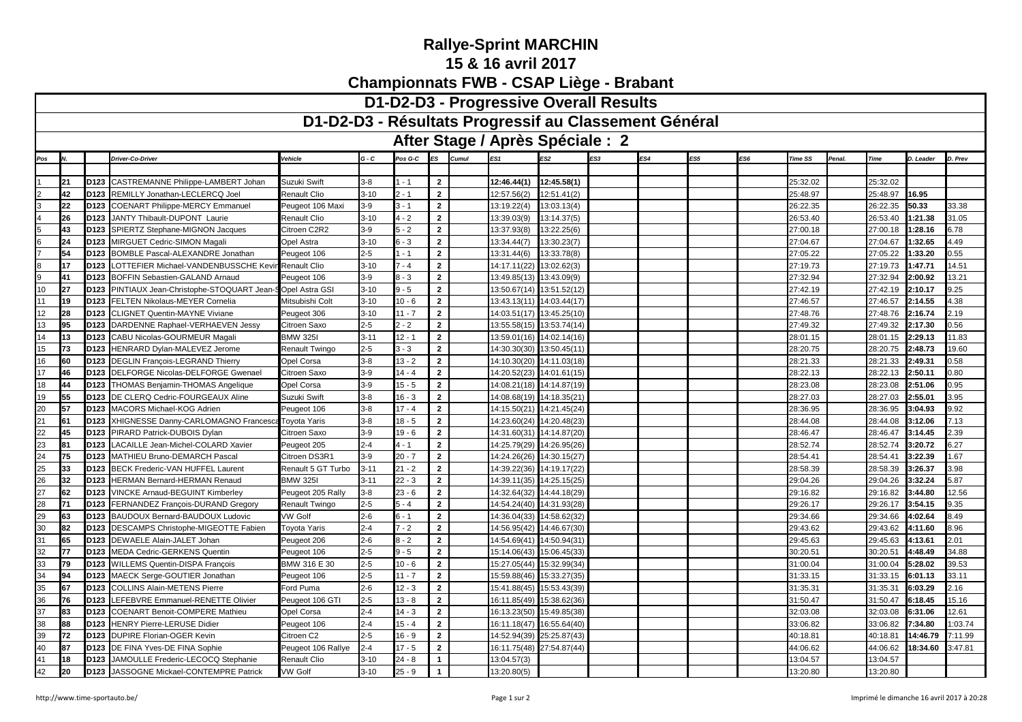## **Rallye-Sprint MARCHIN15 & 16 avril 2017Championnats FWB - CSAP Liège - Brabant**

| D1-D2-D3 - Résultats Progressif au Classement Général<br>After Stage / Après Spéciale : 2<br>Cumul<br>ES1<br>ES4<br>$G - C$<br>Pos G-C<br>ES <sub>2</sub><br>ES3<br>ES5<br>ES6<br><b>Driver-Co-Driver</b><br>Vehicle<br>ES<br><b>Time SS</b><br>Penal.<br>Time<br>D. Leader<br>D. Prev<br>Pos<br>l N<br>CASTREMANNE Philippe-LAMBERT Johan<br>12:45.58(1)<br>21<br>D <sub>123</sub><br>Suzuki Swift<br>$1 - 1$<br>$\overline{2}$<br>12:46.44(1)<br>25:32.02<br>25:32.02<br>3-8<br>$\overline{2}$<br>42<br>D <sub>123</sub><br>REMILLY Jonathan-LECLERCQ Joel<br>$3 - 10$<br>12:57.56(2)<br>12:51.41(2)<br><b>Renault Clio</b><br>$2 - 1$<br>25:48.97<br>25:48.97<br>16.95<br>$\overline{2}$<br>22<br>D <sub>123</sub><br>$3-9$<br>13:19.22(4)<br>13:03.13(4)<br>26:22.35<br>50.33<br><b>COENART Philippe-MERCY Emmanuel</b><br>Peugeot 106 Maxi<br>$3 - 1$<br>26:22.35<br>33.38<br>$\overline{2}$<br>26<br>D <sub>123</sub><br>$3 - 10$<br>$4 - 2$<br>13:14.37(5)<br>1:21.38<br>JANTY Thibault-DUPONT Laurie<br><b>Renault Clio</b><br>13:39.03(9)<br>26:53.40<br>26:53.40<br>31.05<br>$\overline{2}$<br>43<br>D <sub>123</sub><br>13:22.25(6)<br>1:28.16<br>6.78<br>SPIERTZ Stephane-MIGNON Jacques<br>Citroen C2R2<br>$3-9$<br>$5 - 2$<br>13:37.93(8)<br>27:00.18<br>27:00.18<br>$\overline{2}$<br>24<br>D <sub>123</sub><br>$6 - 3$<br>27:04.67<br>MIRGUET Cedric-SIMON Magali<br>$3-10$<br>13:34.44(7)<br>13:30.23(7)<br>27:04.67<br>1:32.65<br>4.49<br>Opel Astra<br>54<br>D <sub>123</sub><br>$\overline{2}$<br>13:33.78(8)<br>27:05.22<br>1:33.20<br>0.55<br><b>BOMBLE Pascal-ALEXANDRE Jonathan</b><br>$2 - 5$<br>$1 - 1$<br>13:31.44(6)<br>27:05.22<br>Peugeot 106<br>$\overline{2}$<br>17<br>D <sub>123</sub><br>$3 - 10$<br>$7 - 4$<br>1:47.71<br>14.51<br>LOTTEFIER Michael-VANDENBUSSCHE Kevi<br>14:17.11(22)<br>13:02.62(3)<br>27:19.73<br>27:19.73<br><b>Renault Clio</b><br>D <sub>123</sub><br>$\mathbf{2}$<br>27:32.94<br>13.21<br>41<br>BOFFIN Sebastien-GALAND Arnaud<br>$3-9$<br>$3 - 3$<br>13:49.85(13)<br>13:43.09(9)<br>27:32.94<br>2:00.92<br>Peugeot 106<br>27<br>$-5$<br>$\overline{2}$<br>10<br>D <sub>123</sub><br>PINTIAUX Jean-Christophe-STOQUART Jean-9<br>$3 - 10$<br>27:42.19<br>2:10.17<br>9.25<br>Opel Astra GSI<br>13:50.67(14)<br>13:51.52(12)<br>27:42.19<br>$\mathbf{2}$<br>D <sub>123</sub><br>14:03.44(17)<br>2:14.55<br>4.38<br>19<br>FELTEN Nikolaus-MEYER Cornelia<br>Mitsubishi Colt<br>$3 - 10$<br>$10 - 6$<br>13:43.13(11)<br>27:46.57<br>27:46.57<br>11<br>12<br>28<br>$\mathbf{2}$<br>D <sub>123</sub><br>$3 - 10$<br>$11 - 7$<br>13:45.25(10)<br><b>CLIGNET Quentin-MAYNE Viviane</b><br>Peugeot 306<br>14:03.51(17)<br>27:48.76<br>27:48.76<br>2:16.74<br>2.19<br>$\mathbf{2}$<br>13<br>D123<br>2-5<br>13:53.74(14)<br>2:17.30<br>0.56<br>95<br>DARDENNE Raphael-VERHAEVEN Jessy<br>Citroen Saxo<br>$2 - 2$<br>13:55.58(15)<br>27:49.32<br>27:49.32<br>14<br>D <sub>123</sub><br>$\overline{2}$<br>13<br>CABU Nicolas-GOURMEUR Magali<br><b>BMW 3251</b><br>$3 - 11$<br>$12 - 1$<br>13:59.01(16)<br>14:02.14(16)<br>28:01.15<br>28:01.15<br>2:29.13<br>11.83<br>D <sub>123</sub><br>HENRARD Dylan-MALEVEZ Jerome<br>$\overline{2}$<br>14:30.30(30)<br>2:48.73<br>19.60<br>15<br>73<br>$2 - 5$<br>$3 - 3$<br>13:50.45(11)<br>28:20.75<br>28:20.75<br>Renault Twingo<br>$\overline{2}$<br>16<br>D <sub>123</sub><br>DEGLIN François-LEGRAND Thierry<br>$3-8$<br>$13 - 2$<br>28:21.33<br>28:21.33<br>2:49.31<br>0.58<br>60<br>Opel Corsa<br>14:10.30(20)<br>14:11.03(18)<br>D123<br>DELFORGE Nicolas-DELFORGE Gwenael<br>$\overline{2}$<br>14:20.52(23)<br>2:50.11<br>17<br>46<br>3-9<br>$14 - 4$<br>14:01.61(15)<br>28:22.13<br>28:22.13<br>0.80<br>Citroen Saxo<br>$\overline{2}$<br>44<br>D <sub>123</sub><br>$3-9$<br>$15 - 5$<br>28:23.08<br>28:23.08<br>2:51.06<br>0.95<br>81<br><b>THOMAS Benjamin-THOMAS Angelique</b><br>Opel Corsa<br>14:08.21(18)<br>14:14.87(19)<br>19<br>55<br>D123<br>$3-8$<br>$\overline{2}$<br>14:08.68(19) 14:18.35(21)<br>28:27.03<br>2:55.01<br>3.95<br>DE CLERQ Cedric-FOURGEAUX Aline<br>Suzuki Swift<br>$16 - 3$<br>28:27.03<br>57<br>D <sub>123</sub><br>MACORS Michael-KOG Adrien<br>$3-8$<br>$17 - 4$<br>$\overline{2}$<br>14:15.50(21)<br>28:36.95<br>3:04.93<br>9.92<br>20<br>14:21.45(24)<br>28:36.95<br>Peugeot 106<br>D123<br>$\overline{2}$<br>21<br>XHIGNESSE Danny-CARLOMAGNO Francesca<br>$3-8$<br>$18 - 5$<br>14:23.60(24)<br>14:20.48(23)<br>28:44.08<br>28:44.08<br>3:12.06<br>7.13<br>61<br>Toyota Yaris<br>$\overline{2}$<br>45<br>D <sub>123</sub><br>$3-9$<br>$19 - 6$<br>2.39<br>22<br>PIRARD Patrick-DUBOIS Dylan<br>14:31.60(31)<br>14:14.87(20)<br>28:46.47<br>28:46.47<br>3:14.45<br>Citroen Saxo<br>$\overline{2}$<br>D <sub>123</sub><br>$2 - 4$<br>6.27<br>23<br>81<br>LACAILLE Jean-Michel-COLARD Xavier<br>$4 - 1$<br>14:25.79(29)<br>14:26.95(26)<br>28:52.74<br>28:52.74<br>3:20.72<br>Peugeot 205<br>$3-9$<br>$\overline{2}$<br>75<br>D <sub>123</sub><br>$20 - 7$<br>28:54.41<br>28:54.41<br>1.67<br>24<br>MATHIEU Bruno-DEMARCH Pascal<br>Citroen DS3R1<br>14:24.26(26)<br>14:30.15(27)<br>3:22.39<br>25<br>33<br>D <sub>123</sub><br>$3 - 11$<br>$21 - 2$<br>$\overline{2}$<br>3.98<br>BECK Frederic-VAN HUFFEL Laurent<br>14:39.22(36)<br>14:19.17(22)<br>28:58.39<br>28:58.39<br>3:26.37<br>Renault 5 GT Turbo<br>$\overline{2}$<br>32<br>26<br>D <sub>123</sub><br>HERMAN Bernard-HERMAN Renaud<br><b>BMW 3251</b><br>$3 - 11$<br>$22 - 3$<br>14:39.11(35)<br>14:25.15(25)<br>29:04.26<br>29:04.26<br>3:32.24<br>5.87<br>D123<br>$\overline{2}$<br>27<br>62<br>VINCKE Arnaud-BEGUINT Kimberley<br>$3 - 8$<br>$23 - 6$<br>14:32.64(32)<br>14:44.18(29)<br>29:16.82<br>29:16.82<br>3:44.80<br>12.56<br>Peugeot 205 Rally<br>$2 - 5$<br>$\overline{2}$<br>3:54.15<br>28<br>71<br>D <sub>123</sub><br>FERNANDEZ François-DURAND Gregory<br>$5 - 4$<br>14:54.24(40)<br>14:31.93(28)<br>29:26.17<br>29:26.17<br>9.35<br><b>Renault Twingo</b><br>$\overline{2}$<br>29<br>63<br>D <sub>123</sub><br>BAUDOUX Bernard-BAUDOUX Ludovic<br><b>VW Golf</b><br>2-6<br>14:36.04(33)<br>14:58.62(32)<br>29:34.66<br>29:34.66<br>4:02.64<br>8.49<br>$6 - 1$<br>82<br>D <sub>123</sub><br>$\overline{2}$<br>14:46.67(30)<br>29:43.62<br>4:11.60<br>8.96<br>30<br>DESCAMPS Christophe-MIGEOTTE Fabien<br>$2 - 4$<br>$7 - 2$<br>14:56.95(42)<br>29:43.62<br>Toyota Yaris<br>$\overline{2}$<br>31<br>65<br>D <sub>123</sub><br>DEWAELE Alain-JALET Johan<br>$2 - 6$<br>$8 - 2$<br>14:50.94(31)<br>2.01<br>14:54.69(41)<br>29:45.63<br>29:45.63<br>4:13.61<br>Peugeot 206<br>$\overline{2}$<br>77<br>D123<br>$9 - 5$<br>34.88<br>32<br><b>MEDA Cedric-GERKENS Quentin</b><br>$2 - 5$<br>15:14.06(43)<br>15:06.45(33)<br>30:20.51<br>30:20.51<br>4:48.49<br>Peugeot 106<br>$\overline{2}$<br>33<br>D <sub>123</sub><br><b>WILLEMS Quentin-DISPA François</b><br>$2 - 5$<br>79<br>BMW 316 E 30<br>$10 - 6$<br>15:27.05(44)<br>15:32.99(34)<br>31:00.04<br>31:00.04<br>5:28.02<br>39.53<br>$\overline{2}$<br>D <sub>123</sub><br>$2 - 5$<br>15:33.27(35)<br>33.11<br>34<br>94<br>MAECK Serge-GOUTIER Jonathan<br>$11 - 7$<br>15:59.88(46)<br>31:33.15<br>31:33.15<br>6:01.13<br>Peugeot 106<br>$\overline{2}$<br>35<br>67<br>D123<br>$2 - 6$<br>$12 - 3$<br>15:53.43(39)<br><b>COLLINS Alain-METENS Pierre</b><br>15:41.88(45)<br>31:35.31<br>31:35.31<br>6:03.29<br>2.16<br>Ford Puma<br>76<br>D <sub>123</sub><br>$2 - 5$<br>$\overline{2}$<br>15:38.62(36)<br>15.16<br>36<br>LEFEBVRE Emmanuel-RENETTE Olivier<br>$13 - 8$<br>16:11.85(49)<br>31:50.47<br>31:50.47<br>6:18.45<br>Peugeot 106 GTI<br>37<br>83<br>D123<br>$2 - 4$<br>$14 - 3$<br>$\overline{2}$<br>12.61<br><b>COENART Benoit-COMPERE Mathieu</b><br>16:13.23(50)<br>15:49.85(38)<br>32:03.08<br>32:03.08<br>6:31.06<br>Opel Corsa<br>88<br>D <sub>123</sub><br>$15 - 4$<br>$\mathbf{2}$<br>16:55.64(40)<br>7:34.80<br>1:03.74<br>38<br><b>HENRY Pierre-LERUSE Didier</b><br>$2 - 4$<br>16:11.18(47)<br>33:06.82<br>Peugeot 106<br>33:06.82<br>72<br>D <sub>123</sub><br>$2 - 5$<br>$\mathbf{2}$<br>39<br><b>DUPIRE Florian-OGER Kevin</b><br>$16 - 9$<br>25:25.87(43)<br>14:46.79<br>7:11.99<br>Citroen C2<br>14:52.94(39)<br>40:18.81<br>40:18.81<br>$2 - 4$<br>$\mathbf{2}$<br>D <sub>123</sub><br>$17 - 5$<br>16:11.75(48)<br>27:54.87(44)<br>44:06.62<br>44:06.62<br>18:34.60<br>3:47.81<br>40<br>87<br>DE FINA Yves-DE FINA Sophie<br>Peugeot 106 Rallye<br>18<br>D <sub>123</sub><br>JAMOULLE Frederic-LECOCQ Stephanie<br>$24 - 8$<br>3:04.57<br>13:04.57<br>41<br>Renault Clio<br>$3 - 10$<br>1<br>13:04.57(3) |    | D1-D2-D3 - Progressive Overall Results |      |                                    |                |          |          |              |  |             |  |  |  |  |  |          |          |  |
|------------------------------------------------------------------------------------------------------------------------------------------------------------------------------------------------------------------------------------------------------------------------------------------------------------------------------------------------------------------------------------------------------------------------------------------------------------------------------------------------------------------------------------------------------------------------------------------------------------------------------------------------------------------------------------------------------------------------------------------------------------------------------------------------------------------------------------------------------------------------------------------------------------------------------------------------------------------------------------------------------------------------------------------------------------------------------------------------------------------------------------------------------------------------------------------------------------------------------------------------------------------------------------------------------------------------------------------------------------------------------------------------------------------------------------------------------------------------------------------------------------------------------------------------------------------------------------------------------------------------------------------------------------------------------------------------------------------------------------------------------------------------------------------------------------------------------------------------------------------------------------------------------------------------------------------------------------------------------------------------------------------------------------------------------------------------------------------------------------------------------------------------------------------------------------------------------------------------------------------------------------------------------------------------------------------------------------------------------------------------------------------------------------------------------------------------------------------------------------------------------------------------------------------------------------------------------------------------------------------------------------------------------------------------------------------------------------------------------------------------------------------------------------------------------------------------------------------------------------------------------------------------------------------------------------------------------------------------------------------------------------------------------------------------------------------------------------------------------------------------------------------------------------------------------------------------------------------------------------------------------------------------------------------------------------------------------------------------------------------------------------------------------------------------------------------------------------------------------------------------------------------------------------------------------------------------------------------------------------------------------------------------------------------------------------------------------------------------------------------------------------------------------------------------------------------------------------------------------------------------------------------------------------------------------------------------------------------------------------------------------------------------------------------------------------------------------------------------------------------------------------------------------------------------------------------------------------------------------------------------------------------------------------------------------------------------------------------------------------------------------------------------------------------------------------------------------------------------------------------------------------------------------------------------------------------------------------------------------------------------------------------------------------------------------------------------------------------------------------------------------------------------------------------------------------------------------------------------------------------------------------------------------------------------------------------------------------------------------------------------------------------------------------------------------------------------------------------------------------------------------------------------------------------------------------------------------------------------------------------------------------------------------------------------------------------------------------------------------------------------------------------------------------------------------------------------------------------------------------------------------------------------------------------------------------------------------------------------------------------------------------------------------------------------------------------------------------------------------------------------------------------------------------------------------------------------------------------------------------------------------------------------------------------------------------------------------------------------------------------------------------------------------------------------------------------------------------------------------------------------------------------------------------------------------------------------------------------------------------------------------------------------------------------------------------------------------------------------------------------------------------------------------------------------------------------------------------------------------------------------------------------------------------------------------------------------------------------------------------------------------------------------------------------------------------------------------------------------------------------------------------------------------------------------------------------------------------------------------------------------------------------------------------------------------------------------------------------------------------------------------------------------------------------------------------------------------------------------------------------------------------------------------------------------------------------------------------------------------------------------------------------------------------------------------------------------------------------------------------------------------------------------------------------------------------------------------------------------------------------------------------------------------------------------------------------------------------------------------------------------------------------------------------------------------------------------------------------------------------------------------------------------------------------------------------------------------------------------------------------------------------------------------------------------------------------------------------------------------------------------------------------------------------------------------------------------------------------------------------------------------------------------------------------------------------------------------------------------------------------------------------------------------------------------------------------------------------------------------------------------------------------------------------------------------------------------------------------------------------------------------------------------------------------------------------------------------------------------|----|----------------------------------------|------|------------------------------------|----------------|----------|----------|--------------|--|-------------|--|--|--|--|--|----------|----------|--|
|                                                                                                                                                                                                                                                                                                                                                                                                                                                                                                                                                                                                                                                                                                                                                                                                                                                                                                                                                                                                                                                                                                                                                                                                                                                                                                                                                                                                                                                                                                                                                                                                                                                                                                                                                                                                                                                                                                                                                                                                                                                                                                                                                                                                                                                                                                                                                                                                                                                                                                                                                                                                                                                                                                                                                                                                                                                                                                                                                                                                                                                                                                                                                                                                                                                                                                                                                                                                                                                                                                                                                                                                                                                                                                                                                                                                                                                                                                                                                                                                                                                                                                                                                                                                                                                                                                                                                                                                                                                                                                                                                                                                                                                                                                                                                                                                                                                                                                                                                                                                                                                                                                                                                                                                                                                                                                                                                                                                                                                                                                                                                                                                                                                                                                                                                                                                                                                                                                                                                                                                                                                                                                                                                                                                                                                                                                                                                                                                                                                                                                                                                                                                                                                                                                                                                                                                                                                                                                                                                                                                                                                                                                                                                                                                                                                                                                                                                                                                                                                                                                                                                                                                                                                                                                                                                                                                                                                                                                                                                                                                                                                                                                                                                                                                                                                                                                                                                                                                                                                                                                                                                                                                |    |                                        |      |                                    |                |          |          |              |  |             |  |  |  |  |  |          |          |  |
|                                                                                                                                                                                                                                                                                                                                                                                                                                                                                                                                                                                                                                                                                                                                                                                                                                                                                                                                                                                                                                                                                                                                                                                                                                                                                                                                                                                                                                                                                                                                                                                                                                                                                                                                                                                                                                                                                                                                                                                                                                                                                                                                                                                                                                                                                                                                                                                                                                                                                                                                                                                                                                                                                                                                                                                                                                                                                                                                                                                                                                                                                                                                                                                                                                                                                                                                                                                                                                                                                                                                                                                                                                                                                                                                                                                                                                                                                                                                                                                                                                                                                                                                                                                                                                                                                                                                                                                                                                                                                                                                                                                                                                                                                                                                                                                                                                                                                                                                                                                                                                                                                                                                                                                                                                                                                                                                                                                                                                                                                                                                                                                                                                                                                                                                                                                                                                                                                                                                                                                                                                                                                                                                                                                                                                                                                                                                                                                                                                                                                                                                                                                                                                                                                                                                                                                                                                                                                                                                                                                                                                                                                                                                                                                                                                                                                                                                                                                                                                                                                                                                                                                                                                                                                                                                                                                                                                                                                                                                                                                                                                                                                                                                                                                                                                                                                                                                                                                                                                                                                                                                                                                                |    |                                        |      |                                    |                |          |          |              |  |             |  |  |  |  |  |          |          |  |
|                                                                                                                                                                                                                                                                                                                                                                                                                                                                                                                                                                                                                                                                                                                                                                                                                                                                                                                                                                                                                                                                                                                                                                                                                                                                                                                                                                                                                                                                                                                                                                                                                                                                                                                                                                                                                                                                                                                                                                                                                                                                                                                                                                                                                                                                                                                                                                                                                                                                                                                                                                                                                                                                                                                                                                                                                                                                                                                                                                                                                                                                                                                                                                                                                                                                                                                                                                                                                                                                                                                                                                                                                                                                                                                                                                                                                                                                                                                                                                                                                                                                                                                                                                                                                                                                                                                                                                                                                                                                                                                                                                                                                                                                                                                                                                                                                                                                                                                                                                                                                                                                                                                                                                                                                                                                                                                                                                                                                                                                                                                                                                                                                                                                                                                                                                                                                                                                                                                                                                                                                                                                                                                                                                                                                                                                                                                                                                                                                                                                                                                                                                                                                                                                                                                                                                                                                                                                                                                                                                                                                                                                                                                                                                                                                                                                                                                                                                                                                                                                                                                                                                                                                                                                                                                                                                                                                                                                                                                                                                                                                                                                                                                                                                                                                                                                                                                                                                                                                                                                                                                                                                                                |    |                                        |      |                                    |                |          |          |              |  |             |  |  |  |  |  |          |          |  |
|                                                                                                                                                                                                                                                                                                                                                                                                                                                                                                                                                                                                                                                                                                                                                                                                                                                                                                                                                                                                                                                                                                                                                                                                                                                                                                                                                                                                                                                                                                                                                                                                                                                                                                                                                                                                                                                                                                                                                                                                                                                                                                                                                                                                                                                                                                                                                                                                                                                                                                                                                                                                                                                                                                                                                                                                                                                                                                                                                                                                                                                                                                                                                                                                                                                                                                                                                                                                                                                                                                                                                                                                                                                                                                                                                                                                                                                                                                                                                                                                                                                                                                                                                                                                                                                                                                                                                                                                                                                                                                                                                                                                                                                                                                                                                                                                                                                                                                                                                                                                                                                                                                                                                                                                                                                                                                                                                                                                                                                                                                                                                                                                                                                                                                                                                                                                                                                                                                                                                                                                                                                                                                                                                                                                                                                                                                                                                                                                                                                                                                                                                                                                                                                                                                                                                                                                                                                                                                                                                                                                                                                                                                                                                                                                                                                                                                                                                                                                                                                                                                                                                                                                                                                                                                                                                                                                                                                                                                                                                                                                                                                                                                                                                                                                                                                                                                                                                                                                                                                                                                                                                                                                |    |                                        |      |                                    |                |          |          |              |  |             |  |  |  |  |  |          |          |  |
|                                                                                                                                                                                                                                                                                                                                                                                                                                                                                                                                                                                                                                                                                                                                                                                                                                                                                                                                                                                                                                                                                                                                                                                                                                                                                                                                                                                                                                                                                                                                                                                                                                                                                                                                                                                                                                                                                                                                                                                                                                                                                                                                                                                                                                                                                                                                                                                                                                                                                                                                                                                                                                                                                                                                                                                                                                                                                                                                                                                                                                                                                                                                                                                                                                                                                                                                                                                                                                                                                                                                                                                                                                                                                                                                                                                                                                                                                                                                                                                                                                                                                                                                                                                                                                                                                                                                                                                                                                                                                                                                                                                                                                                                                                                                                                                                                                                                                                                                                                                                                                                                                                                                                                                                                                                                                                                                                                                                                                                                                                                                                                                                                                                                                                                                                                                                                                                                                                                                                                                                                                                                                                                                                                                                                                                                                                                                                                                                                                                                                                                                                                                                                                                                                                                                                                                                                                                                                                                                                                                                                                                                                                                                                                                                                                                                                                                                                                                                                                                                                                                                                                                                                                                                                                                                                                                                                                                                                                                                                                                                                                                                                                                                                                                                                                                                                                                                                                                                                                                                                                                                                                                                |    |                                        |      |                                    |                |          |          |              |  |             |  |  |  |  |  |          |          |  |
|                                                                                                                                                                                                                                                                                                                                                                                                                                                                                                                                                                                                                                                                                                                                                                                                                                                                                                                                                                                                                                                                                                                                                                                                                                                                                                                                                                                                                                                                                                                                                                                                                                                                                                                                                                                                                                                                                                                                                                                                                                                                                                                                                                                                                                                                                                                                                                                                                                                                                                                                                                                                                                                                                                                                                                                                                                                                                                                                                                                                                                                                                                                                                                                                                                                                                                                                                                                                                                                                                                                                                                                                                                                                                                                                                                                                                                                                                                                                                                                                                                                                                                                                                                                                                                                                                                                                                                                                                                                                                                                                                                                                                                                                                                                                                                                                                                                                                                                                                                                                                                                                                                                                                                                                                                                                                                                                                                                                                                                                                                                                                                                                                                                                                                                                                                                                                                                                                                                                                                                                                                                                                                                                                                                                                                                                                                                                                                                                                                                                                                                                                                                                                                                                                                                                                                                                                                                                                                                                                                                                                                                                                                                                                                                                                                                                                                                                                                                                                                                                                                                                                                                                                                                                                                                                                                                                                                                                                                                                                                                                                                                                                                                                                                                                                                                                                                                                                                                                                                                                                                                                                                                                |    |                                        |      |                                    |                |          |          |              |  |             |  |  |  |  |  |          |          |  |
|                                                                                                                                                                                                                                                                                                                                                                                                                                                                                                                                                                                                                                                                                                                                                                                                                                                                                                                                                                                                                                                                                                                                                                                                                                                                                                                                                                                                                                                                                                                                                                                                                                                                                                                                                                                                                                                                                                                                                                                                                                                                                                                                                                                                                                                                                                                                                                                                                                                                                                                                                                                                                                                                                                                                                                                                                                                                                                                                                                                                                                                                                                                                                                                                                                                                                                                                                                                                                                                                                                                                                                                                                                                                                                                                                                                                                                                                                                                                                                                                                                                                                                                                                                                                                                                                                                                                                                                                                                                                                                                                                                                                                                                                                                                                                                                                                                                                                                                                                                                                                                                                                                                                                                                                                                                                                                                                                                                                                                                                                                                                                                                                                                                                                                                                                                                                                                                                                                                                                                                                                                                                                                                                                                                                                                                                                                                                                                                                                                                                                                                                                                                                                                                                                                                                                                                                                                                                                                                                                                                                                                                                                                                                                                                                                                                                                                                                                                                                                                                                                                                                                                                                                                                                                                                                                                                                                                                                                                                                                                                                                                                                                                                                                                                                                                                                                                                                                                                                                                                                                                                                                                                                |    |                                        |      |                                    |                |          |          |              |  |             |  |  |  |  |  |          |          |  |
|                                                                                                                                                                                                                                                                                                                                                                                                                                                                                                                                                                                                                                                                                                                                                                                                                                                                                                                                                                                                                                                                                                                                                                                                                                                                                                                                                                                                                                                                                                                                                                                                                                                                                                                                                                                                                                                                                                                                                                                                                                                                                                                                                                                                                                                                                                                                                                                                                                                                                                                                                                                                                                                                                                                                                                                                                                                                                                                                                                                                                                                                                                                                                                                                                                                                                                                                                                                                                                                                                                                                                                                                                                                                                                                                                                                                                                                                                                                                                                                                                                                                                                                                                                                                                                                                                                                                                                                                                                                                                                                                                                                                                                                                                                                                                                                                                                                                                                                                                                                                                                                                                                                                                                                                                                                                                                                                                                                                                                                                                                                                                                                                                                                                                                                                                                                                                                                                                                                                                                                                                                                                                                                                                                                                                                                                                                                                                                                                                                                                                                                                                                                                                                                                                                                                                                                                                                                                                                                                                                                                                                                                                                                                                                                                                                                                                                                                                                                                                                                                                                                                                                                                                                                                                                                                                                                                                                                                                                                                                                                                                                                                                                                                                                                                                                                                                                                                                                                                                                                                                                                                                                                                |    |                                        |      |                                    |                |          |          |              |  |             |  |  |  |  |  |          |          |  |
|                                                                                                                                                                                                                                                                                                                                                                                                                                                                                                                                                                                                                                                                                                                                                                                                                                                                                                                                                                                                                                                                                                                                                                                                                                                                                                                                                                                                                                                                                                                                                                                                                                                                                                                                                                                                                                                                                                                                                                                                                                                                                                                                                                                                                                                                                                                                                                                                                                                                                                                                                                                                                                                                                                                                                                                                                                                                                                                                                                                                                                                                                                                                                                                                                                                                                                                                                                                                                                                                                                                                                                                                                                                                                                                                                                                                                                                                                                                                                                                                                                                                                                                                                                                                                                                                                                                                                                                                                                                                                                                                                                                                                                                                                                                                                                                                                                                                                                                                                                                                                                                                                                                                                                                                                                                                                                                                                                                                                                                                                                                                                                                                                                                                                                                                                                                                                                                                                                                                                                                                                                                                                                                                                                                                                                                                                                                                                                                                                                                                                                                                                                                                                                                                                                                                                                                                                                                                                                                                                                                                                                                                                                                                                                                                                                                                                                                                                                                                                                                                                                                                                                                                                                                                                                                                                                                                                                                                                                                                                                                                                                                                                                                                                                                                                                                                                                                                                                                                                                                                                                                                                                                                |    |                                        |      |                                    |                |          |          |              |  |             |  |  |  |  |  |          |          |  |
|                                                                                                                                                                                                                                                                                                                                                                                                                                                                                                                                                                                                                                                                                                                                                                                                                                                                                                                                                                                                                                                                                                                                                                                                                                                                                                                                                                                                                                                                                                                                                                                                                                                                                                                                                                                                                                                                                                                                                                                                                                                                                                                                                                                                                                                                                                                                                                                                                                                                                                                                                                                                                                                                                                                                                                                                                                                                                                                                                                                                                                                                                                                                                                                                                                                                                                                                                                                                                                                                                                                                                                                                                                                                                                                                                                                                                                                                                                                                                                                                                                                                                                                                                                                                                                                                                                                                                                                                                                                                                                                                                                                                                                                                                                                                                                                                                                                                                                                                                                                                                                                                                                                                                                                                                                                                                                                                                                                                                                                                                                                                                                                                                                                                                                                                                                                                                                                                                                                                                                                                                                                                                                                                                                                                                                                                                                                                                                                                                                                                                                                                                                                                                                                                                                                                                                                                                                                                                                                                                                                                                                                                                                                                                                                                                                                                                                                                                                                                                                                                                                                                                                                                                                                                                                                                                                                                                                                                                                                                                                                                                                                                                                                                                                                                                                                                                                                                                                                                                                                                                                                                                                                                |    |                                        |      |                                    |                |          |          |              |  |             |  |  |  |  |  |          |          |  |
|                                                                                                                                                                                                                                                                                                                                                                                                                                                                                                                                                                                                                                                                                                                                                                                                                                                                                                                                                                                                                                                                                                                                                                                                                                                                                                                                                                                                                                                                                                                                                                                                                                                                                                                                                                                                                                                                                                                                                                                                                                                                                                                                                                                                                                                                                                                                                                                                                                                                                                                                                                                                                                                                                                                                                                                                                                                                                                                                                                                                                                                                                                                                                                                                                                                                                                                                                                                                                                                                                                                                                                                                                                                                                                                                                                                                                                                                                                                                                                                                                                                                                                                                                                                                                                                                                                                                                                                                                                                                                                                                                                                                                                                                                                                                                                                                                                                                                                                                                                                                                                                                                                                                                                                                                                                                                                                                                                                                                                                                                                                                                                                                                                                                                                                                                                                                                                                                                                                                                                                                                                                                                                                                                                                                                                                                                                                                                                                                                                                                                                                                                                                                                                                                                                                                                                                                                                                                                                                                                                                                                                                                                                                                                                                                                                                                                                                                                                                                                                                                                                                                                                                                                                                                                                                                                                                                                                                                                                                                                                                                                                                                                                                                                                                                                                                                                                                                                                                                                                                                                                                                                                                                |    |                                        |      |                                    |                |          |          |              |  |             |  |  |  |  |  |          |          |  |
|                                                                                                                                                                                                                                                                                                                                                                                                                                                                                                                                                                                                                                                                                                                                                                                                                                                                                                                                                                                                                                                                                                                                                                                                                                                                                                                                                                                                                                                                                                                                                                                                                                                                                                                                                                                                                                                                                                                                                                                                                                                                                                                                                                                                                                                                                                                                                                                                                                                                                                                                                                                                                                                                                                                                                                                                                                                                                                                                                                                                                                                                                                                                                                                                                                                                                                                                                                                                                                                                                                                                                                                                                                                                                                                                                                                                                                                                                                                                                                                                                                                                                                                                                                                                                                                                                                                                                                                                                                                                                                                                                                                                                                                                                                                                                                                                                                                                                                                                                                                                                                                                                                                                                                                                                                                                                                                                                                                                                                                                                                                                                                                                                                                                                                                                                                                                                                                                                                                                                                                                                                                                                                                                                                                                                                                                                                                                                                                                                                                                                                                                                                                                                                                                                                                                                                                                                                                                                                                                                                                                                                                                                                                                                                                                                                                                                                                                                                                                                                                                                                                                                                                                                                                                                                                                                                                                                                                                                                                                                                                                                                                                                                                                                                                                                                                                                                                                                                                                                                                                                                                                                                                                |    |                                        |      |                                    |                |          |          |              |  |             |  |  |  |  |  |          |          |  |
|                                                                                                                                                                                                                                                                                                                                                                                                                                                                                                                                                                                                                                                                                                                                                                                                                                                                                                                                                                                                                                                                                                                                                                                                                                                                                                                                                                                                                                                                                                                                                                                                                                                                                                                                                                                                                                                                                                                                                                                                                                                                                                                                                                                                                                                                                                                                                                                                                                                                                                                                                                                                                                                                                                                                                                                                                                                                                                                                                                                                                                                                                                                                                                                                                                                                                                                                                                                                                                                                                                                                                                                                                                                                                                                                                                                                                                                                                                                                                                                                                                                                                                                                                                                                                                                                                                                                                                                                                                                                                                                                                                                                                                                                                                                                                                                                                                                                                                                                                                                                                                                                                                                                                                                                                                                                                                                                                                                                                                                                                                                                                                                                                                                                                                                                                                                                                                                                                                                                                                                                                                                                                                                                                                                                                                                                                                                                                                                                                                                                                                                                                                                                                                                                                                                                                                                                                                                                                                                                                                                                                                                                                                                                                                                                                                                                                                                                                                                                                                                                                                                                                                                                                                                                                                                                                                                                                                                                                                                                                                                                                                                                                                                                                                                                                                                                                                                                                                                                                                                                                                                                                                                                |    |                                        |      |                                    |                |          |          |              |  |             |  |  |  |  |  |          |          |  |
|                                                                                                                                                                                                                                                                                                                                                                                                                                                                                                                                                                                                                                                                                                                                                                                                                                                                                                                                                                                                                                                                                                                                                                                                                                                                                                                                                                                                                                                                                                                                                                                                                                                                                                                                                                                                                                                                                                                                                                                                                                                                                                                                                                                                                                                                                                                                                                                                                                                                                                                                                                                                                                                                                                                                                                                                                                                                                                                                                                                                                                                                                                                                                                                                                                                                                                                                                                                                                                                                                                                                                                                                                                                                                                                                                                                                                                                                                                                                                                                                                                                                                                                                                                                                                                                                                                                                                                                                                                                                                                                                                                                                                                                                                                                                                                                                                                                                                                                                                                                                                                                                                                                                                                                                                                                                                                                                                                                                                                                                                                                                                                                                                                                                                                                                                                                                                                                                                                                                                                                                                                                                                                                                                                                                                                                                                                                                                                                                                                                                                                                                                                                                                                                                                                                                                                                                                                                                                                                                                                                                                                                                                                                                                                                                                                                                                                                                                                                                                                                                                                                                                                                                                                                                                                                                                                                                                                                                                                                                                                                                                                                                                                                                                                                                                                                                                                                                                                                                                                                                                                                                                                                                |    |                                        |      |                                    |                |          |          |              |  |             |  |  |  |  |  |          |          |  |
|                                                                                                                                                                                                                                                                                                                                                                                                                                                                                                                                                                                                                                                                                                                                                                                                                                                                                                                                                                                                                                                                                                                                                                                                                                                                                                                                                                                                                                                                                                                                                                                                                                                                                                                                                                                                                                                                                                                                                                                                                                                                                                                                                                                                                                                                                                                                                                                                                                                                                                                                                                                                                                                                                                                                                                                                                                                                                                                                                                                                                                                                                                                                                                                                                                                                                                                                                                                                                                                                                                                                                                                                                                                                                                                                                                                                                                                                                                                                                                                                                                                                                                                                                                                                                                                                                                                                                                                                                                                                                                                                                                                                                                                                                                                                                                                                                                                                                                                                                                                                                                                                                                                                                                                                                                                                                                                                                                                                                                                                                                                                                                                                                                                                                                                                                                                                                                                                                                                                                                                                                                                                                                                                                                                                                                                                                                                                                                                                                                                                                                                                                                                                                                                                                                                                                                                                                                                                                                                                                                                                                                                                                                                                                                                                                                                                                                                                                                                                                                                                                                                                                                                                                                                                                                                                                                                                                                                                                                                                                                                                                                                                                                                                                                                                                                                                                                                                                                                                                                                                                                                                                                                                |    |                                        |      |                                    |                |          |          |              |  |             |  |  |  |  |  |          |          |  |
|                                                                                                                                                                                                                                                                                                                                                                                                                                                                                                                                                                                                                                                                                                                                                                                                                                                                                                                                                                                                                                                                                                                                                                                                                                                                                                                                                                                                                                                                                                                                                                                                                                                                                                                                                                                                                                                                                                                                                                                                                                                                                                                                                                                                                                                                                                                                                                                                                                                                                                                                                                                                                                                                                                                                                                                                                                                                                                                                                                                                                                                                                                                                                                                                                                                                                                                                                                                                                                                                                                                                                                                                                                                                                                                                                                                                                                                                                                                                                                                                                                                                                                                                                                                                                                                                                                                                                                                                                                                                                                                                                                                                                                                                                                                                                                                                                                                                                                                                                                                                                                                                                                                                                                                                                                                                                                                                                                                                                                                                                                                                                                                                                                                                                                                                                                                                                                                                                                                                                                                                                                                                                                                                                                                                                                                                                                                                                                                                                                                                                                                                                                                                                                                                                                                                                                                                                                                                                                                                                                                                                                                                                                                                                                                                                                                                                                                                                                                                                                                                                                                                                                                                                                                                                                                                                                                                                                                                                                                                                                                                                                                                                                                                                                                                                                                                                                                                                                                                                                                                                                                                                                                                |    |                                        |      |                                    |                |          |          |              |  |             |  |  |  |  |  |          |          |  |
|                                                                                                                                                                                                                                                                                                                                                                                                                                                                                                                                                                                                                                                                                                                                                                                                                                                                                                                                                                                                                                                                                                                                                                                                                                                                                                                                                                                                                                                                                                                                                                                                                                                                                                                                                                                                                                                                                                                                                                                                                                                                                                                                                                                                                                                                                                                                                                                                                                                                                                                                                                                                                                                                                                                                                                                                                                                                                                                                                                                                                                                                                                                                                                                                                                                                                                                                                                                                                                                                                                                                                                                                                                                                                                                                                                                                                                                                                                                                                                                                                                                                                                                                                                                                                                                                                                                                                                                                                                                                                                                                                                                                                                                                                                                                                                                                                                                                                                                                                                                                                                                                                                                                                                                                                                                                                                                                                                                                                                                                                                                                                                                                                                                                                                                                                                                                                                                                                                                                                                                                                                                                                                                                                                                                                                                                                                                                                                                                                                                                                                                                                                                                                                                                                                                                                                                                                                                                                                                                                                                                                                                                                                                                                                                                                                                                                                                                                                                                                                                                                                                                                                                                                                                                                                                                                                                                                                                                                                                                                                                                                                                                                                                                                                                                                                                                                                                                                                                                                                                                                                                                                                                                |    |                                        |      |                                    |                |          |          |              |  |             |  |  |  |  |  |          |          |  |
|                                                                                                                                                                                                                                                                                                                                                                                                                                                                                                                                                                                                                                                                                                                                                                                                                                                                                                                                                                                                                                                                                                                                                                                                                                                                                                                                                                                                                                                                                                                                                                                                                                                                                                                                                                                                                                                                                                                                                                                                                                                                                                                                                                                                                                                                                                                                                                                                                                                                                                                                                                                                                                                                                                                                                                                                                                                                                                                                                                                                                                                                                                                                                                                                                                                                                                                                                                                                                                                                                                                                                                                                                                                                                                                                                                                                                                                                                                                                                                                                                                                                                                                                                                                                                                                                                                                                                                                                                                                                                                                                                                                                                                                                                                                                                                                                                                                                                                                                                                                                                                                                                                                                                                                                                                                                                                                                                                                                                                                                                                                                                                                                                                                                                                                                                                                                                                                                                                                                                                                                                                                                                                                                                                                                                                                                                                                                                                                                                                                                                                                                                                                                                                                                                                                                                                                                                                                                                                                                                                                                                                                                                                                                                                                                                                                                                                                                                                                                                                                                                                                                                                                                                                                                                                                                                                                                                                                                                                                                                                                                                                                                                                                                                                                                                                                                                                                                                                                                                                                                                                                                                                                                |    |                                        |      |                                    |                |          |          |              |  |             |  |  |  |  |  |          |          |  |
|                                                                                                                                                                                                                                                                                                                                                                                                                                                                                                                                                                                                                                                                                                                                                                                                                                                                                                                                                                                                                                                                                                                                                                                                                                                                                                                                                                                                                                                                                                                                                                                                                                                                                                                                                                                                                                                                                                                                                                                                                                                                                                                                                                                                                                                                                                                                                                                                                                                                                                                                                                                                                                                                                                                                                                                                                                                                                                                                                                                                                                                                                                                                                                                                                                                                                                                                                                                                                                                                                                                                                                                                                                                                                                                                                                                                                                                                                                                                                                                                                                                                                                                                                                                                                                                                                                                                                                                                                                                                                                                                                                                                                                                                                                                                                                                                                                                                                                                                                                                                                                                                                                                                                                                                                                                                                                                                                                                                                                                                                                                                                                                                                                                                                                                                                                                                                                                                                                                                                                                                                                                                                                                                                                                                                                                                                                                                                                                                                                                                                                                                                                                                                                                                                                                                                                                                                                                                                                                                                                                                                                                                                                                                                                                                                                                                                                                                                                                                                                                                                                                                                                                                                                                                                                                                                                                                                                                                                                                                                                                                                                                                                                                                                                                                                                                                                                                                                                                                                                                                                                                                                                                                |    |                                        |      |                                    |                |          |          |              |  |             |  |  |  |  |  |          |          |  |
|                                                                                                                                                                                                                                                                                                                                                                                                                                                                                                                                                                                                                                                                                                                                                                                                                                                                                                                                                                                                                                                                                                                                                                                                                                                                                                                                                                                                                                                                                                                                                                                                                                                                                                                                                                                                                                                                                                                                                                                                                                                                                                                                                                                                                                                                                                                                                                                                                                                                                                                                                                                                                                                                                                                                                                                                                                                                                                                                                                                                                                                                                                                                                                                                                                                                                                                                                                                                                                                                                                                                                                                                                                                                                                                                                                                                                                                                                                                                                                                                                                                                                                                                                                                                                                                                                                                                                                                                                                                                                                                                                                                                                                                                                                                                                                                                                                                                                                                                                                                                                                                                                                                                                                                                                                                                                                                                                                                                                                                                                                                                                                                                                                                                                                                                                                                                                                                                                                                                                                                                                                                                                                                                                                                                                                                                                                                                                                                                                                                                                                                                                                                                                                                                                                                                                                                                                                                                                                                                                                                                                                                                                                                                                                                                                                                                                                                                                                                                                                                                                                                                                                                                                                                                                                                                                                                                                                                                                                                                                                                                                                                                                                                                                                                                                                                                                                                                                                                                                                                                                                                                                                                                |    |                                        |      |                                    |                |          |          |              |  |             |  |  |  |  |  |          |          |  |
|                                                                                                                                                                                                                                                                                                                                                                                                                                                                                                                                                                                                                                                                                                                                                                                                                                                                                                                                                                                                                                                                                                                                                                                                                                                                                                                                                                                                                                                                                                                                                                                                                                                                                                                                                                                                                                                                                                                                                                                                                                                                                                                                                                                                                                                                                                                                                                                                                                                                                                                                                                                                                                                                                                                                                                                                                                                                                                                                                                                                                                                                                                                                                                                                                                                                                                                                                                                                                                                                                                                                                                                                                                                                                                                                                                                                                                                                                                                                                                                                                                                                                                                                                                                                                                                                                                                                                                                                                                                                                                                                                                                                                                                                                                                                                                                                                                                                                                                                                                                                                                                                                                                                                                                                                                                                                                                                                                                                                                                                                                                                                                                                                                                                                                                                                                                                                                                                                                                                                                                                                                                                                                                                                                                                                                                                                                                                                                                                                                                                                                                                                                                                                                                                                                                                                                                                                                                                                                                                                                                                                                                                                                                                                                                                                                                                                                                                                                                                                                                                                                                                                                                                                                                                                                                                                                                                                                                                                                                                                                                                                                                                                                                                                                                                                                                                                                                                                                                                                                                                                                                                                                                                |    |                                        |      |                                    |                |          |          |              |  |             |  |  |  |  |  |          |          |  |
|                                                                                                                                                                                                                                                                                                                                                                                                                                                                                                                                                                                                                                                                                                                                                                                                                                                                                                                                                                                                                                                                                                                                                                                                                                                                                                                                                                                                                                                                                                                                                                                                                                                                                                                                                                                                                                                                                                                                                                                                                                                                                                                                                                                                                                                                                                                                                                                                                                                                                                                                                                                                                                                                                                                                                                                                                                                                                                                                                                                                                                                                                                                                                                                                                                                                                                                                                                                                                                                                                                                                                                                                                                                                                                                                                                                                                                                                                                                                                                                                                                                                                                                                                                                                                                                                                                                                                                                                                                                                                                                                                                                                                                                                                                                                                                                                                                                                                                                                                                                                                                                                                                                                                                                                                                                                                                                                                                                                                                                                                                                                                                                                                                                                                                                                                                                                                                                                                                                                                                                                                                                                                                                                                                                                                                                                                                                                                                                                                                                                                                                                                                                                                                                                                                                                                                                                                                                                                                                                                                                                                                                                                                                                                                                                                                                                                                                                                                                                                                                                                                                                                                                                                                                                                                                                                                                                                                                                                                                                                                                                                                                                                                                                                                                                                                                                                                                                                                                                                                                                                                                                                                                                |    |                                        |      |                                    |                |          |          |              |  |             |  |  |  |  |  |          |          |  |
|                                                                                                                                                                                                                                                                                                                                                                                                                                                                                                                                                                                                                                                                                                                                                                                                                                                                                                                                                                                                                                                                                                                                                                                                                                                                                                                                                                                                                                                                                                                                                                                                                                                                                                                                                                                                                                                                                                                                                                                                                                                                                                                                                                                                                                                                                                                                                                                                                                                                                                                                                                                                                                                                                                                                                                                                                                                                                                                                                                                                                                                                                                                                                                                                                                                                                                                                                                                                                                                                                                                                                                                                                                                                                                                                                                                                                                                                                                                                                                                                                                                                                                                                                                                                                                                                                                                                                                                                                                                                                                                                                                                                                                                                                                                                                                                                                                                                                                                                                                                                                                                                                                                                                                                                                                                                                                                                                                                                                                                                                                                                                                                                                                                                                                                                                                                                                                                                                                                                                                                                                                                                                                                                                                                                                                                                                                                                                                                                                                                                                                                                                                                                                                                                                                                                                                                                                                                                                                                                                                                                                                                                                                                                                                                                                                                                                                                                                                                                                                                                                                                                                                                                                                                                                                                                                                                                                                                                                                                                                                                                                                                                                                                                                                                                                                                                                                                                                                                                                                                                                                                                                                                                |    |                                        |      |                                    |                |          |          |              |  |             |  |  |  |  |  |          |          |  |
|                                                                                                                                                                                                                                                                                                                                                                                                                                                                                                                                                                                                                                                                                                                                                                                                                                                                                                                                                                                                                                                                                                                                                                                                                                                                                                                                                                                                                                                                                                                                                                                                                                                                                                                                                                                                                                                                                                                                                                                                                                                                                                                                                                                                                                                                                                                                                                                                                                                                                                                                                                                                                                                                                                                                                                                                                                                                                                                                                                                                                                                                                                                                                                                                                                                                                                                                                                                                                                                                                                                                                                                                                                                                                                                                                                                                                                                                                                                                                                                                                                                                                                                                                                                                                                                                                                                                                                                                                                                                                                                                                                                                                                                                                                                                                                                                                                                                                                                                                                                                                                                                                                                                                                                                                                                                                                                                                                                                                                                                                                                                                                                                                                                                                                                                                                                                                                                                                                                                                                                                                                                                                                                                                                                                                                                                                                                                                                                                                                                                                                                                                                                                                                                                                                                                                                                                                                                                                                                                                                                                                                                                                                                                                                                                                                                                                                                                                                                                                                                                                                                                                                                                                                                                                                                                                                                                                                                                                                                                                                                                                                                                                                                                                                                                                                                                                                                                                                                                                                                                                                                                                                                                |    |                                        |      |                                    |                |          |          |              |  |             |  |  |  |  |  |          |          |  |
|                                                                                                                                                                                                                                                                                                                                                                                                                                                                                                                                                                                                                                                                                                                                                                                                                                                                                                                                                                                                                                                                                                                                                                                                                                                                                                                                                                                                                                                                                                                                                                                                                                                                                                                                                                                                                                                                                                                                                                                                                                                                                                                                                                                                                                                                                                                                                                                                                                                                                                                                                                                                                                                                                                                                                                                                                                                                                                                                                                                                                                                                                                                                                                                                                                                                                                                                                                                                                                                                                                                                                                                                                                                                                                                                                                                                                                                                                                                                                                                                                                                                                                                                                                                                                                                                                                                                                                                                                                                                                                                                                                                                                                                                                                                                                                                                                                                                                                                                                                                                                                                                                                                                                                                                                                                                                                                                                                                                                                                                                                                                                                                                                                                                                                                                                                                                                                                                                                                                                                                                                                                                                                                                                                                                                                                                                                                                                                                                                                                                                                                                                                                                                                                                                                                                                                                                                                                                                                                                                                                                                                                                                                                                                                                                                                                                                                                                                                                                                                                                                                                                                                                                                                                                                                                                                                                                                                                                                                                                                                                                                                                                                                                                                                                                                                                                                                                                                                                                                                                                                                                                                                                                |    |                                        |      |                                    |                |          |          |              |  |             |  |  |  |  |  |          |          |  |
|                                                                                                                                                                                                                                                                                                                                                                                                                                                                                                                                                                                                                                                                                                                                                                                                                                                                                                                                                                                                                                                                                                                                                                                                                                                                                                                                                                                                                                                                                                                                                                                                                                                                                                                                                                                                                                                                                                                                                                                                                                                                                                                                                                                                                                                                                                                                                                                                                                                                                                                                                                                                                                                                                                                                                                                                                                                                                                                                                                                                                                                                                                                                                                                                                                                                                                                                                                                                                                                                                                                                                                                                                                                                                                                                                                                                                                                                                                                                                                                                                                                                                                                                                                                                                                                                                                                                                                                                                                                                                                                                                                                                                                                                                                                                                                                                                                                                                                                                                                                                                                                                                                                                                                                                                                                                                                                                                                                                                                                                                                                                                                                                                                                                                                                                                                                                                                                                                                                                                                                                                                                                                                                                                                                                                                                                                                                                                                                                                                                                                                                                                                                                                                                                                                                                                                                                                                                                                                                                                                                                                                                                                                                                                                                                                                                                                                                                                                                                                                                                                                                                                                                                                                                                                                                                                                                                                                                                                                                                                                                                                                                                                                                                                                                                                                                                                                                                                                                                                                                                                                                                                                                                |    |                                        |      |                                    |                |          |          |              |  |             |  |  |  |  |  |          |          |  |
|                                                                                                                                                                                                                                                                                                                                                                                                                                                                                                                                                                                                                                                                                                                                                                                                                                                                                                                                                                                                                                                                                                                                                                                                                                                                                                                                                                                                                                                                                                                                                                                                                                                                                                                                                                                                                                                                                                                                                                                                                                                                                                                                                                                                                                                                                                                                                                                                                                                                                                                                                                                                                                                                                                                                                                                                                                                                                                                                                                                                                                                                                                                                                                                                                                                                                                                                                                                                                                                                                                                                                                                                                                                                                                                                                                                                                                                                                                                                                                                                                                                                                                                                                                                                                                                                                                                                                                                                                                                                                                                                                                                                                                                                                                                                                                                                                                                                                                                                                                                                                                                                                                                                                                                                                                                                                                                                                                                                                                                                                                                                                                                                                                                                                                                                                                                                                                                                                                                                                                                                                                                                                                                                                                                                                                                                                                                                                                                                                                                                                                                                                                                                                                                                                                                                                                                                                                                                                                                                                                                                                                                                                                                                                                                                                                                                                                                                                                                                                                                                                                                                                                                                                                                                                                                                                                                                                                                                                                                                                                                                                                                                                                                                                                                                                                                                                                                                                                                                                                                                                                                                                                                                |    |                                        |      |                                    |                |          |          |              |  |             |  |  |  |  |  |          |          |  |
|                                                                                                                                                                                                                                                                                                                                                                                                                                                                                                                                                                                                                                                                                                                                                                                                                                                                                                                                                                                                                                                                                                                                                                                                                                                                                                                                                                                                                                                                                                                                                                                                                                                                                                                                                                                                                                                                                                                                                                                                                                                                                                                                                                                                                                                                                                                                                                                                                                                                                                                                                                                                                                                                                                                                                                                                                                                                                                                                                                                                                                                                                                                                                                                                                                                                                                                                                                                                                                                                                                                                                                                                                                                                                                                                                                                                                                                                                                                                                                                                                                                                                                                                                                                                                                                                                                                                                                                                                                                                                                                                                                                                                                                                                                                                                                                                                                                                                                                                                                                                                                                                                                                                                                                                                                                                                                                                                                                                                                                                                                                                                                                                                                                                                                                                                                                                                                                                                                                                                                                                                                                                                                                                                                                                                                                                                                                                                                                                                                                                                                                                                                                                                                                                                                                                                                                                                                                                                                                                                                                                                                                                                                                                                                                                                                                                                                                                                                                                                                                                                                                                                                                                                                                                                                                                                                                                                                                                                                                                                                                                                                                                                                                                                                                                                                                                                                                                                                                                                                                                                                                                                                                                |    |                                        |      |                                    |                |          |          |              |  |             |  |  |  |  |  |          |          |  |
|                                                                                                                                                                                                                                                                                                                                                                                                                                                                                                                                                                                                                                                                                                                                                                                                                                                                                                                                                                                                                                                                                                                                                                                                                                                                                                                                                                                                                                                                                                                                                                                                                                                                                                                                                                                                                                                                                                                                                                                                                                                                                                                                                                                                                                                                                                                                                                                                                                                                                                                                                                                                                                                                                                                                                                                                                                                                                                                                                                                                                                                                                                                                                                                                                                                                                                                                                                                                                                                                                                                                                                                                                                                                                                                                                                                                                                                                                                                                                                                                                                                                                                                                                                                                                                                                                                                                                                                                                                                                                                                                                                                                                                                                                                                                                                                                                                                                                                                                                                                                                                                                                                                                                                                                                                                                                                                                                                                                                                                                                                                                                                                                                                                                                                                                                                                                                                                                                                                                                                                                                                                                                                                                                                                                                                                                                                                                                                                                                                                                                                                                                                                                                                                                                                                                                                                                                                                                                                                                                                                                                                                                                                                                                                                                                                                                                                                                                                                                                                                                                                                                                                                                                                                                                                                                                                                                                                                                                                                                                                                                                                                                                                                                                                                                                                                                                                                                                                                                                                                                                                                                                                                                |    |                                        |      |                                    |                |          |          |              |  |             |  |  |  |  |  |          |          |  |
|                                                                                                                                                                                                                                                                                                                                                                                                                                                                                                                                                                                                                                                                                                                                                                                                                                                                                                                                                                                                                                                                                                                                                                                                                                                                                                                                                                                                                                                                                                                                                                                                                                                                                                                                                                                                                                                                                                                                                                                                                                                                                                                                                                                                                                                                                                                                                                                                                                                                                                                                                                                                                                                                                                                                                                                                                                                                                                                                                                                                                                                                                                                                                                                                                                                                                                                                                                                                                                                                                                                                                                                                                                                                                                                                                                                                                                                                                                                                                                                                                                                                                                                                                                                                                                                                                                                                                                                                                                                                                                                                                                                                                                                                                                                                                                                                                                                                                                                                                                                                                                                                                                                                                                                                                                                                                                                                                                                                                                                                                                                                                                                                                                                                                                                                                                                                                                                                                                                                                                                                                                                                                                                                                                                                                                                                                                                                                                                                                                                                                                                                                                                                                                                                                                                                                                                                                                                                                                                                                                                                                                                                                                                                                                                                                                                                                                                                                                                                                                                                                                                                                                                                                                                                                                                                                                                                                                                                                                                                                                                                                                                                                                                                                                                                                                                                                                                                                                                                                                                                                                                                                                                                |    |                                        |      |                                    |                |          |          |              |  |             |  |  |  |  |  |          |          |  |
|                                                                                                                                                                                                                                                                                                                                                                                                                                                                                                                                                                                                                                                                                                                                                                                                                                                                                                                                                                                                                                                                                                                                                                                                                                                                                                                                                                                                                                                                                                                                                                                                                                                                                                                                                                                                                                                                                                                                                                                                                                                                                                                                                                                                                                                                                                                                                                                                                                                                                                                                                                                                                                                                                                                                                                                                                                                                                                                                                                                                                                                                                                                                                                                                                                                                                                                                                                                                                                                                                                                                                                                                                                                                                                                                                                                                                                                                                                                                                                                                                                                                                                                                                                                                                                                                                                                                                                                                                                                                                                                                                                                                                                                                                                                                                                                                                                                                                                                                                                                                                                                                                                                                                                                                                                                                                                                                                                                                                                                                                                                                                                                                                                                                                                                                                                                                                                                                                                                                                                                                                                                                                                                                                                                                                                                                                                                                                                                                                                                                                                                                                                                                                                                                                                                                                                                                                                                                                                                                                                                                                                                                                                                                                                                                                                                                                                                                                                                                                                                                                                                                                                                                                                                                                                                                                                                                                                                                                                                                                                                                                                                                                                                                                                                                                                                                                                                                                                                                                                                                                                                                                                                                |    |                                        |      |                                    |                |          |          |              |  |             |  |  |  |  |  |          |          |  |
|                                                                                                                                                                                                                                                                                                                                                                                                                                                                                                                                                                                                                                                                                                                                                                                                                                                                                                                                                                                                                                                                                                                                                                                                                                                                                                                                                                                                                                                                                                                                                                                                                                                                                                                                                                                                                                                                                                                                                                                                                                                                                                                                                                                                                                                                                                                                                                                                                                                                                                                                                                                                                                                                                                                                                                                                                                                                                                                                                                                                                                                                                                                                                                                                                                                                                                                                                                                                                                                                                                                                                                                                                                                                                                                                                                                                                                                                                                                                                                                                                                                                                                                                                                                                                                                                                                                                                                                                                                                                                                                                                                                                                                                                                                                                                                                                                                                                                                                                                                                                                                                                                                                                                                                                                                                                                                                                                                                                                                                                                                                                                                                                                                                                                                                                                                                                                                                                                                                                                                                                                                                                                                                                                                                                                                                                                                                                                                                                                                                                                                                                                                                                                                                                                                                                                                                                                                                                                                                                                                                                                                                                                                                                                                                                                                                                                                                                                                                                                                                                                                                                                                                                                                                                                                                                                                                                                                                                                                                                                                                                                                                                                                                                                                                                                                                                                                                                                                                                                                                                                                                                                                                                |    |                                        |      |                                    |                |          |          |              |  |             |  |  |  |  |  |          |          |  |
|                                                                                                                                                                                                                                                                                                                                                                                                                                                                                                                                                                                                                                                                                                                                                                                                                                                                                                                                                                                                                                                                                                                                                                                                                                                                                                                                                                                                                                                                                                                                                                                                                                                                                                                                                                                                                                                                                                                                                                                                                                                                                                                                                                                                                                                                                                                                                                                                                                                                                                                                                                                                                                                                                                                                                                                                                                                                                                                                                                                                                                                                                                                                                                                                                                                                                                                                                                                                                                                                                                                                                                                                                                                                                                                                                                                                                                                                                                                                                                                                                                                                                                                                                                                                                                                                                                                                                                                                                                                                                                                                                                                                                                                                                                                                                                                                                                                                                                                                                                                                                                                                                                                                                                                                                                                                                                                                                                                                                                                                                                                                                                                                                                                                                                                                                                                                                                                                                                                                                                                                                                                                                                                                                                                                                                                                                                                                                                                                                                                                                                                                                                                                                                                                                                                                                                                                                                                                                                                                                                                                                                                                                                                                                                                                                                                                                                                                                                                                                                                                                                                                                                                                                                                                                                                                                                                                                                                                                                                                                                                                                                                                                                                                                                                                                                                                                                                                                                                                                                                                                                                                                                                                |    |                                        |      |                                    |                |          |          |              |  |             |  |  |  |  |  |          |          |  |
|                                                                                                                                                                                                                                                                                                                                                                                                                                                                                                                                                                                                                                                                                                                                                                                                                                                                                                                                                                                                                                                                                                                                                                                                                                                                                                                                                                                                                                                                                                                                                                                                                                                                                                                                                                                                                                                                                                                                                                                                                                                                                                                                                                                                                                                                                                                                                                                                                                                                                                                                                                                                                                                                                                                                                                                                                                                                                                                                                                                                                                                                                                                                                                                                                                                                                                                                                                                                                                                                                                                                                                                                                                                                                                                                                                                                                                                                                                                                                                                                                                                                                                                                                                                                                                                                                                                                                                                                                                                                                                                                                                                                                                                                                                                                                                                                                                                                                                                                                                                                                                                                                                                                                                                                                                                                                                                                                                                                                                                                                                                                                                                                                                                                                                                                                                                                                                                                                                                                                                                                                                                                                                                                                                                                                                                                                                                                                                                                                                                                                                                                                                                                                                                                                                                                                                                                                                                                                                                                                                                                                                                                                                                                                                                                                                                                                                                                                                                                                                                                                                                                                                                                                                                                                                                                                                                                                                                                                                                                                                                                                                                                                                                                                                                                                                                                                                                                                                                                                                                                                                                                                                                                |    |                                        |      |                                    |                |          |          |              |  |             |  |  |  |  |  |          |          |  |
|                                                                                                                                                                                                                                                                                                                                                                                                                                                                                                                                                                                                                                                                                                                                                                                                                                                                                                                                                                                                                                                                                                                                                                                                                                                                                                                                                                                                                                                                                                                                                                                                                                                                                                                                                                                                                                                                                                                                                                                                                                                                                                                                                                                                                                                                                                                                                                                                                                                                                                                                                                                                                                                                                                                                                                                                                                                                                                                                                                                                                                                                                                                                                                                                                                                                                                                                                                                                                                                                                                                                                                                                                                                                                                                                                                                                                                                                                                                                                                                                                                                                                                                                                                                                                                                                                                                                                                                                                                                                                                                                                                                                                                                                                                                                                                                                                                                                                                                                                                                                                                                                                                                                                                                                                                                                                                                                                                                                                                                                                                                                                                                                                                                                                                                                                                                                                                                                                                                                                                                                                                                                                                                                                                                                                                                                                                                                                                                                                                                                                                                                                                                                                                                                                                                                                                                                                                                                                                                                                                                                                                                                                                                                                                                                                                                                                                                                                                                                                                                                                                                                                                                                                                                                                                                                                                                                                                                                                                                                                                                                                                                                                                                                                                                                                                                                                                                                                                                                                                                                                                                                                                                                |    |                                        |      |                                    |                |          |          |              |  |             |  |  |  |  |  |          |          |  |
|                                                                                                                                                                                                                                                                                                                                                                                                                                                                                                                                                                                                                                                                                                                                                                                                                                                                                                                                                                                                                                                                                                                                                                                                                                                                                                                                                                                                                                                                                                                                                                                                                                                                                                                                                                                                                                                                                                                                                                                                                                                                                                                                                                                                                                                                                                                                                                                                                                                                                                                                                                                                                                                                                                                                                                                                                                                                                                                                                                                                                                                                                                                                                                                                                                                                                                                                                                                                                                                                                                                                                                                                                                                                                                                                                                                                                                                                                                                                                                                                                                                                                                                                                                                                                                                                                                                                                                                                                                                                                                                                                                                                                                                                                                                                                                                                                                                                                                                                                                                                                                                                                                                                                                                                                                                                                                                                                                                                                                                                                                                                                                                                                                                                                                                                                                                                                                                                                                                                                                                                                                                                                                                                                                                                                                                                                                                                                                                                                                                                                                                                                                                                                                                                                                                                                                                                                                                                                                                                                                                                                                                                                                                                                                                                                                                                                                                                                                                                                                                                                                                                                                                                                                                                                                                                                                                                                                                                                                                                                                                                                                                                                                                                                                                                                                                                                                                                                                                                                                                                                                                                                                                                |    |                                        |      |                                    |                |          |          |              |  |             |  |  |  |  |  |          |          |  |
|                                                                                                                                                                                                                                                                                                                                                                                                                                                                                                                                                                                                                                                                                                                                                                                                                                                                                                                                                                                                                                                                                                                                                                                                                                                                                                                                                                                                                                                                                                                                                                                                                                                                                                                                                                                                                                                                                                                                                                                                                                                                                                                                                                                                                                                                                                                                                                                                                                                                                                                                                                                                                                                                                                                                                                                                                                                                                                                                                                                                                                                                                                                                                                                                                                                                                                                                                                                                                                                                                                                                                                                                                                                                                                                                                                                                                                                                                                                                                                                                                                                                                                                                                                                                                                                                                                                                                                                                                                                                                                                                                                                                                                                                                                                                                                                                                                                                                                                                                                                                                                                                                                                                                                                                                                                                                                                                                                                                                                                                                                                                                                                                                                                                                                                                                                                                                                                                                                                                                                                                                                                                                                                                                                                                                                                                                                                                                                                                                                                                                                                                                                                                                                                                                                                                                                                                                                                                                                                                                                                                                                                                                                                                                                                                                                                                                                                                                                                                                                                                                                                                                                                                                                                                                                                                                                                                                                                                                                                                                                                                                                                                                                                                                                                                                                                                                                                                                                                                                                                                                                                                                                                                |    |                                        |      |                                    |                |          |          |              |  |             |  |  |  |  |  |          |          |  |
|                                                                                                                                                                                                                                                                                                                                                                                                                                                                                                                                                                                                                                                                                                                                                                                                                                                                                                                                                                                                                                                                                                                                                                                                                                                                                                                                                                                                                                                                                                                                                                                                                                                                                                                                                                                                                                                                                                                                                                                                                                                                                                                                                                                                                                                                                                                                                                                                                                                                                                                                                                                                                                                                                                                                                                                                                                                                                                                                                                                                                                                                                                                                                                                                                                                                                                                                                                                                                                                                                                                                                                                                                                                                                                                                                                                                                                                                                                                                                                                                                                                                                                                                                                                                                                                                                                                                                                                                                                                                                                                                                                                                                                                                                                                                                                                                                                                                                                                                                                                                                                                                                                                                                                                                                                                                                                                                                                                                                                                                                                                                                                                                                                                                                                                                                                                                                                                                                                                                                                                                                                                                                                                                                                                                                                                                                                                                                                                                                                                                                                                                                                                                                                                                                                                                                                                                                                                                                                                                                                                                                                                                                                                                                                                                                                                                                                                                                                                                                                                                                                                                                                                                                                                                                                                                                                                                                                                                                                                                                                                                                                                                                                                                                                                                                                                                                                                                                                                                                                                                                                                                                                                                |    |                                        |      |                                    |                |          |          |              |  |             |  |  |  |  |  |          |          |  |
|                                                                                                                                                                                                                                                                                                                                                                                                                                                                                                                                                                                                                                                                                                                                                                                                                                                                                                                                                                                                                                                                                                                                                                                                                                                                                                                                                                                                                                                                                                                                                                                                                                                                                                                                                                                                                                                                                                                                                                                                                                                                                                                                                                                                                                                                                                                                                                                                                                                                                                                                                                                                                                                                                                                                                                                                                                                                                                                                                                                                                                                                                                                                                                                                                                                                                                                                                                                                                                                                                                                                                                                                                                                                                                                                                                                                                                                                                                                                                                                                                                                                                                                                                                                                                                                                                                                                                                                                                                                                                                                                                                                                                                                                                                                                                                                                                                                                                                                                                                                                                                                                                                                                                                                                                                                                                                                                                                                                                                                                                                                                                                                                                                                                                                                                                                                                                                                                                                                                                                                                                                                                                                                                                                                                                                                                                                                                                                                                                                                                                                                                                                                                                                                                                                                                                                                                                                                                                                                                                                                                                                                                                                                                                                                                                                                                                                                                                                                                                                                                                                                                                                                                                                                                                                                                                                                                                                                                                                                                                                                                                                                                                                                                                                                                                                                                                                                                                                                                                                                                                                                                                                                                |    |                                        |      |                                    |                |          |          |              |  |             |  |  |  |  |  |          |          |  |
|                                                                                                                                                                                                                                                                                                                                                                                                                                                                                                                                                                                                                                                                                                                                                                                                                                                                                                                                                                                                                                                                                                                                                                                                                                                                                                                                                                                                                                                                                                                                                                                                                                                                                                                                                                                                                                                                                                                                                                                                                                                                                                                                                                                                                                                                                                                                                                                                                                                                                                                                                                                                                                                                                                                                                                                                                                                                                                                                                                                                                                                                                                                                                                                                                                                                                                                                                                                                                                                                                                                                                                                                                                                                                                                                                                                                                                                                                                                                                                                                                                                                                                                                                                                                                                                                                                                                                                                                                                                                                                                                                                                                                                                                                                                                                                                                                                                                                                                                                                                                                                                                                                                                                                                                                                                                                                                                                                                                                                                                                                                                                                                                                                                                                                                                                                                                                                                                                                                                                                                                                                                                                                                                                                                                                                                                                                                                                                                                                                                                                                                                                                                                                                                                                                                                                                                                                                                                                                                                                                                                                                                                                                                                                                                                                                                                                                                                                                                                                                                                                                                                                                                                                                                                                                                                                                                                                                                                                                                                                                                                                                                                                                                                                                                                                                                                                                                                                                                                                                                                                                                                                                                                |    |                                        |      |                                    |                |          |          |              |  |             |  |  |  |  |  |          |          |  |
|                                                                                                                                                                                                                                                                                                                                                                                                                                                                                                                                                                                                                                                                                                                                                                                                                                                                                                                                                                                                                                                                                                                                                                                                                                                                                                                                                                                                                                                                                                                                                                                                                                                                                                                                                                                                                                                                                                                                                                                                                                                                                                                                                                                                                                                                                                                                                                                                                                                                                                                                                                                                                                                                                                                                                                                                                                                                                                                                                                                                                                                                                                                                                                                                                                                                                                                                                                                                                                                                                                                                                                                                                                                                                                                                                                                                                                                                                                                                                                                                                                                                                                                                                                                                                                                                                                                                                                                                                                                                                                                                                                                                                                                                                                                                                                                                                                                                                                                                                                                                                                                                                                                                                                                                                                                                                                                                                                                                                                                                                                                                                                                                                                                                                                                                                                                                                                                                                                                                                                                                                                                                                                                                                                                                                                                                                                                                                                                                                                                                                                                                                                                                                                                                                                                                                                                                                                                                                                                                                                                                                                                                                                                                                                                                                                                                                                                                                                                                                                                                                                                                                                                                                                                                                                                                                                                                                                                                                                                                                                                                                                                                                                                                                                                                                                                                                                                                                                                                                                                                                                                                                                                                |    |                                        |      |                                    |                |          |          |              |  |             |  |  |  |  |  |          |          |  |
|                                                                                                                                                                                                                                                                                                                                                                                                                                                                                                                                                                                                                                                                                                                                                                                                                                                                                                                                                                                                                                                                                                                                                                                                                                                                                                                                                                                                                                                                                                                                                                                                                                                                                                                                                                                                                                                                                                                                                                                                                                                                                                                                                                                                                                                                                                                                                                                                                                                                                                                                                                                                                                                                                                                                                                                                                                                                                                                                                                                                                                                                                                                                                                                                                                                                                                                                                                                                                                                                                                                                                                                                                                                                                                                                                                                                                                                                                                                                                                                                                                                                                                                                                                                                                                                                                                                                                                                                                                                                                                                                                                                                                                                                                                                                                                                                                                                                                                                                                                                                                                                                                                                                                                                                                                                                                                                                                                                                                                                                                                                                                                                                                                                                                                                                                                                                                                                                                                                                                                                                                                                                                                                                                                                                                                                                                                                                                                                                                                                                                                                                                                                                                                                                                                                                                                                                                                                                                                                                                                                                                                                                                                                                                                                                                                                                                                                                                                                                                                                                                                                                                                                                                                                                                                                                                                                                                                                                                                                                                                                                                                                                                                                                                                                                                                                                                                                                                                                                                                                                                                                                                                                                |    |                                        |      |                                    |                |          |          |              |  |             |  |  |  |  |  |          |          |  |
|                                                                                                                                                                                                                                                                                                                                                                                                                                                                                                                                                                                                                                                                                                                                                                                                                                                                                                                                                                                                                                                                                                                                                                                                                                                                                                                                                                                                                                                                                                                                                                                                                                                                                                                                                                                                                                                                                                                                                                                                                                                                                                                                                                                                                                                                                                                                                                                                                                                                                                                                                                                                                                                                                                                                                                                                                                                                                                                                                                                                                                                                                                                                                                                                                                                                                                                                                                                                                                                                                                                                                                                                                                                                                                                                                                                                                                                                                                                                                                                                                                                                                                                                                                                                                                                                                                                                                                                                                                                                                                                                                                                                                                                                                                                                                                                                                                                                                                                                                                                                                                                                                                                                                                                                                                                                                                                                                                                                                                                                                                                                                                                                                                                                                                                                                                                                                                                                                                                                                                                                                                                                                                                                                                                                                                                                                                                                                                                                                                                                                                                                                                                                                                                                                                                                                                                                                                                                                                                                                                                                                                                                                                                                                                                                                                                                                                                                                                                                                                                                                                                                                                                                                                                                                                                                                                                                                                                                                                                                                                                                                                                                                                                                                                                                                                                                                                                                                                                                                                                                                                                                                                                                |    |                                        |      |                                    |                |          |          |              |  |             |  |  |  |  |  |          |          |  |
|                                                                                                                                                                                                                                                                                                                                                                                                                                                                                                                                                                                                                                                                                                                                                                                                                                                                                                                                                                                                                                                                                                                                                                                                                                                                                                                                                                                                                                                                                                                                                                                                                                                                                                                                                                                                                                                                                                                                                                                                                                                                                                                                                                                                                                                                                                                                                                                                                                                                                                                                                                                                                                                                                                                                                                                                                                                                                                                                                                                                                                                                                                                                                                                                                                                                                                                                                                                                                                                                                                                                                                                                                                                                                                                                                                                                                                                                                                                                                                                                                                                                                                                                                                                                                                                                                                                                                                                                                                                                                                                                                                                                                                                                                                                                                                                                                                                                                                                                                                                                                                                                                                                                                                                                                                                                                                                                                                                                                                                                                                                                                                                                                                                                                                                                                                                                                                                                                                                                                                                                                                                                                                                                                                                                                                                                                                                                                                                                                                                                                                                                                                                                                                                                                                                                                                                                                                                                                                                                                                                                                                                                                                                                                                                                                                                                                                                                                                                                                                                                                                                                                                                                                                                                                                                                                                                                                                                                                                                                                                                                                                                                                                                                                                                                                                                                                                                                                                                                                                                                                                                                                                                                |    |                                        |      |                                    |                |          |          |              |  |             |  |  |  |  |  |          |          |  |
|                                                                                                                                                                                                                                                                                                                                                                                                                                                                                                                                                                                                                                                                                                                                                                                                                                                                                                                                                                                                                                                                                                                                                                                                                                                                                                                                                                                                                                                                                                                                                                                                                                                                                                                                                                                                                                                                                                                                                                                                                                                                                                                                                                                                                                                                                                                                                                                                                                                                                                                                                                                                                                                                                                                                                                                                                                                                                                                                                                                                                                                                                                                                                                                                                                                                                                                                                                                                                                                                                                                                                                                                                                                                                                                                                                                                                                                                                                                                                                                                                                                                                                                                                                                                                                                                                                                                                                                                                                                                                                                                                                                                                                                                                                                                                                                                                                                                                                                                                                                                                                                                                                                                                                                                                                                                                                                                                                                                                                                                                                                                                                                                                                                                                                                                                                                                                                                                                                                                                                                                                                                                                                                                                                                                                                                                                                                                                                                                                                                                                                                                                                                                                                                                                                                                                                                                                                                                                                                                                                                                                                                                                                                                                                                                                                                                                                                                                                                                                                                                                                                                                                                                                                                                                                                                                                                                                                                                                                                                                                                                                                                                                                                                                                                                                                                                                                                                                                                                                                                                                                                                                                                                |    |                                        |      |                                    |                |          |          |              |  |             |  |  |  |  |  |          |          |  |
|                                                                                                                                                                                                                                                                                                                                                                                                                                                                                                                                                                                                                                                                                                                                                                                                                                                                                                                                                                                                                                                                                                                                                                                                                                                                                                                                                                                                                                                                                                                                                                                                                                                                                                                                                                                                                                                                                                                                                                                                                                                                                                                                                                                                                                                                                                                                                                                                                                                                                                                                                                                                                                                                                                                                                                                                                                                                                                                                                                                                                                                                                                                                                                                                                                                                                                                                                                                                                                                                                                                                                                                                                                                                                                                                                                                                                                                                                                                                                                                                                                                                                                                                                                                                                                                                                                                                                                                                                                                                                                                                                                                                                                                                                                                                                                                                                                                                                                                                                                                                                                                                                                                                                                                                                                                                                                                                                                                                                                                                                                                                                                                                                                                                                                                                                                                                                                                                                                                                                                                                                                                                                                                                                                                                                                                                                                                                                                                                                                                                                                                                                                                                                                                                                                                                                                                                                                                                                                                                                                                                                                                                                                                                                                                                                                                                                                                                                                                                                                                                                                                                                                                                                                                                                                                                                                                                                                                                                                                                                                                                                                                                                                                                                                                                                                                                                                                                                                                                                                                                                                                                                                                                | 42 | 20                                     | D123 | JASSOGNE Mickael-CONTEMPRE Patrick | <b>VW Golf</b> | $3 - 10$ | $25 - 9$ | $\mathbf{1}$ |  | 13:20.80(5) |  |  |  |  |  | 13:20.80 | 13:20.80 |  |